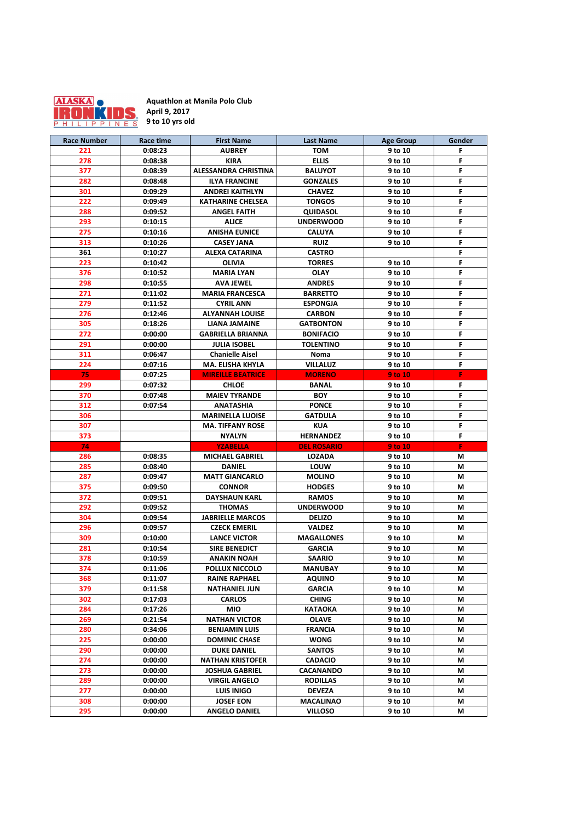| <b>Race Number</b> | <b>Race time</b> | <b>First Name</b>           | <b>Last Name</b>   | <b>Age Group</b> | <b>Gender</b> |
|--------------------|------------------|-----------------------------|--------------------|------------------|---------------|
| 221                | 0:08:23          | <b>AUBREY</b>               | <b>TOM</b>         | 9 to 10          | F             |
| 278                | 0:08:38          | <b>KIRA</b>                 | <b>ELLIS</b>       | 9 to 10          | F             |
| 377                | 0:08:39          | <b>ALESSANDRA CHRISTINA</b> | <b>BALUYOT</b>     | 9 to 10          | F             |
| 282                | 0:08:48          | <b>ILYA FRANCINE</b>        | <b>GONZALES</b>    | 9 to 10          | F             |
| 301                | 0:09:29          | <b>ANDREI KAITHLYN</b>      | <b>CHAVEZ</b>      | 9 to 10          | F             |
| 222                | 0:09:49          | <b>KATHARINE CHELSEA</b>    | <b>TONGOS</b>      | 9 to 10          | F             |
| 288                | 0:09:52          | <b>ANGEL FAITH</b>          | <b>QUIDASOL</b>    | 9 to 10          | F             |
| 293                | 0:10:15          | <b>ALICE</b>                | <b>UNDERWOOD</b>   | 9 to 10          | F             |
| 275                | 0:10:16          | <b>ANISHA EUNICE</b>        | <b>CALUYA</b>      | 9 to 10          | F             |
| 313                | 0:10:26          | <b>CASEY JANA</b>           | <b>RUIZ</b>        | 9 to 10          | F             |
| 361                | 0:10:27          | <b>ALEXA CATARINA</b>       | <b>CASTRO</b>      |                  | F             |
| 223                | 0:10:42          | <b>OLIVIA</b>               | <b>TORRES</b>      | 9 to 10          | F             |
| 376                | 0:10:52          | <b>MARIA LYAN</b>           | <b>OLAY</b>        | 9 to 10          | F             |
| 298                | 0:10:55          | <b>AVA JEWEL</b>            | <b>ANDRES</b>      | 9 to 10          | F             |
| 271                | 0:11:02          | <b>MARIA FRANCESCA</b>      | <b>BARRETTO</b>    | 9 to 10          | F             |
| 279                | 0:11:52          | <b>CYRIL ANN</b>            | <b>ESPONGJA</b>    | 9 to 10          | F             |
| 276                | 0:12:46          | <b>ALYANNAH LOUISE</b>      | <b>CARBON</b>      | 9 to 10          | F             |
| 305                | 0:18:26          | <b>LIANA JAMAINE</b>        | <b>GATBONTON</b>   | 9 to 10          | F             |
| 272                | 0:00:00          | <b>GABRIELLA BRIANNA</b>    | <b>BONIFACIO</b>   | 9 to 10          | F             |
| 291                | 0:00:00          | <b>JULIA ISOBEL</b>         | <b>TOLENTINO</b>   | 9 to 10          | F             |
| 311                | 0:06:47          | <b>Chanielle Aisel</b>      | <b>Noma</b>        | 9 to 10          | F             |
| 224                | 0:07:16          | <b>MA. ELISHA KHYLA</b>     | <b>VILLALUZ</b>    | 9 to 10          | F             |
| 75                 | 0:07:25          | <b>MIREILLE BEATRICE</b>    | <b>MORENO</b>      | <b>9 to 10</b>   | F             |
| 299                | 0:07:32          | <b>CHLOE</b>                | <b>BANAL</b>       | 9 to 10          | F.            |
| 370                | 0:07:48          | <b>MAIEV TYRANDE</b>        | <b>BOY</b>         | 9 to 10          | F             |
| 312                | 0:07:54          | <b>ANATASHIA</b>            | <b>PONCE</b>       | 9 to 10          | F             |
| 306                |                  | <b>MARINELLA LUOISE</b>     | <b>GATDULA</b>     | 9 to 10          | F             |
| 307                |                  | <b>MA. TIFFANY ROSE</b>     | <b>KUA</b>         | 9 to 10          | F             |
| 373                |                  | <b>NYALYN</b>               | <b>HERNANDEZ</b>   | 9 to 10          | F             |
| 74                 |                  | <b>YZABELLA</b>             | <b>DEL ROSARIO</b> | <b>9 to 10</b>   | F.            |
| 286                | 0:08:35          | <b>MICHAEL GABRIEL</b>      | <b>LOZADA</b>      | 9 to 10          | M             |
| 285                | 0:08:40          | <b>DANIEL</b>               | <b>LOUW</b>        | 9 to 10          | M             |
| 287                | 0:09:47          | <b>MATT GIANCARLO</b>       | <b>MOLINO</b>      | 9 to 10          | M             |
| 375                | 0:09:50          | <b>CONNOR</b>               | <b>HODGES</b>      | 9 to 10          | M             |
| 372                | 0:09:51          | <b>DAYSHAUN KARL</b>        | <b>RAMOS</b>       | 9 to 10          | M             |
| 292                | 0:09:52          | <b>THOMAS</b>               | <b>UNDERWOOD</b>   | 9 to 10          | M             |
| 304                | 0:09:54          | <b>JABRIELLE MARCOS</b>     | <b>DELIZO</b>      | 9 to 10          | M             |
| 296                | 0:09:57          | <b>CZECK EMERIL</b>         | <b>VALDEZ</b>      | 9 to 10          | M             |
| 309                | 0:10:00          | <b>LANCE VICTOR</b>         | <b>MAGALLONES</b>  | 9 to 10          | M             |
| 281                | 0:10:54          | <b>SIRE BENEDICT</b>        | <b>GARCIA</b>      | 9 to 10          | M             |
| 378                | 0:10:59          | <b>ANAKIN NOAH</b>          | <b>SAARIO</b>      | 9 to 10          | M             |
| 374                | 0:11:06          | <b>POLLUX NICCOLO</b>       | <b>MANUBAY</b>     | 9 to 10          | M             |
| 368                | 0:11:07          | <b>RAINE RAPHAEL</b>        | <b>AQUINO</b>      | 9 to 10          | M             |
| 379                | 0:11:58          | <b>NATHANIEL JUN</b>        | <b>GARCIA</b>      | 9 to 10          | M             |
| 302                | 0:17:03          | <b>CARLOS</b>               | <b>CHING</b>       | 9 to 10          | M             |
| 284                | 0:17:26          | <b>MIO</b>                  | <b>KATAOKA</b>     | 9 to 10          | M             |
| 269                | 0:21:54          | <b>NATHAN VICTOR</b>        | <b>OLAVE</b>       | 9 to 10          | M             |
| 280                | 0:34:06          | <b>BENJAMIN LUIS</b>        | <b>FRANCIA</b>     | 9 to 10          | M             |
| 225                | 0:00:00          | <b>DOMINIC CHASE</b>        | <b>WONG</b>        | 9 to 10          | M             |
| 290                | 0:00:00          | <b>DUKE DANIEL</b>          | <b>SANTOS</b>      | 9 to 10          | M             |
| 274                | 0:00:00          | <b>NATHAN KRISTOFER</b>     | <b>CADACIO</b>     | 9 to 10          | M             |
| 273                | 0:00:00          | <b>JOSHUA GABRIEL</b>       | <b>CACANANDO</b>   | 9 to 10          | M             |
| 289                | 0:00:00          | <b>VIRGIL ANGELO</b>        | <b>RODILLAS</b>    | 9 to 10          | M             |
| 277                | 0:00:00          | <b>LUIS INIGO</b>           | <b>DEVEZA</b>      | 9 to 10          | M             |
| 308                | 0:00:00          | <b>JOSEF EON</b>            | <b>MACALINAO</b>   | 9 to 10          | M             |
| 295                | 0:00:00          | <b>ANGELO DANIEL</b>        | <b>VILLOSO</b>     | 9 to 10          | M             |



**Aquathlon at Manila Polo Club April 9, 2017 9 to 10 yrs old**